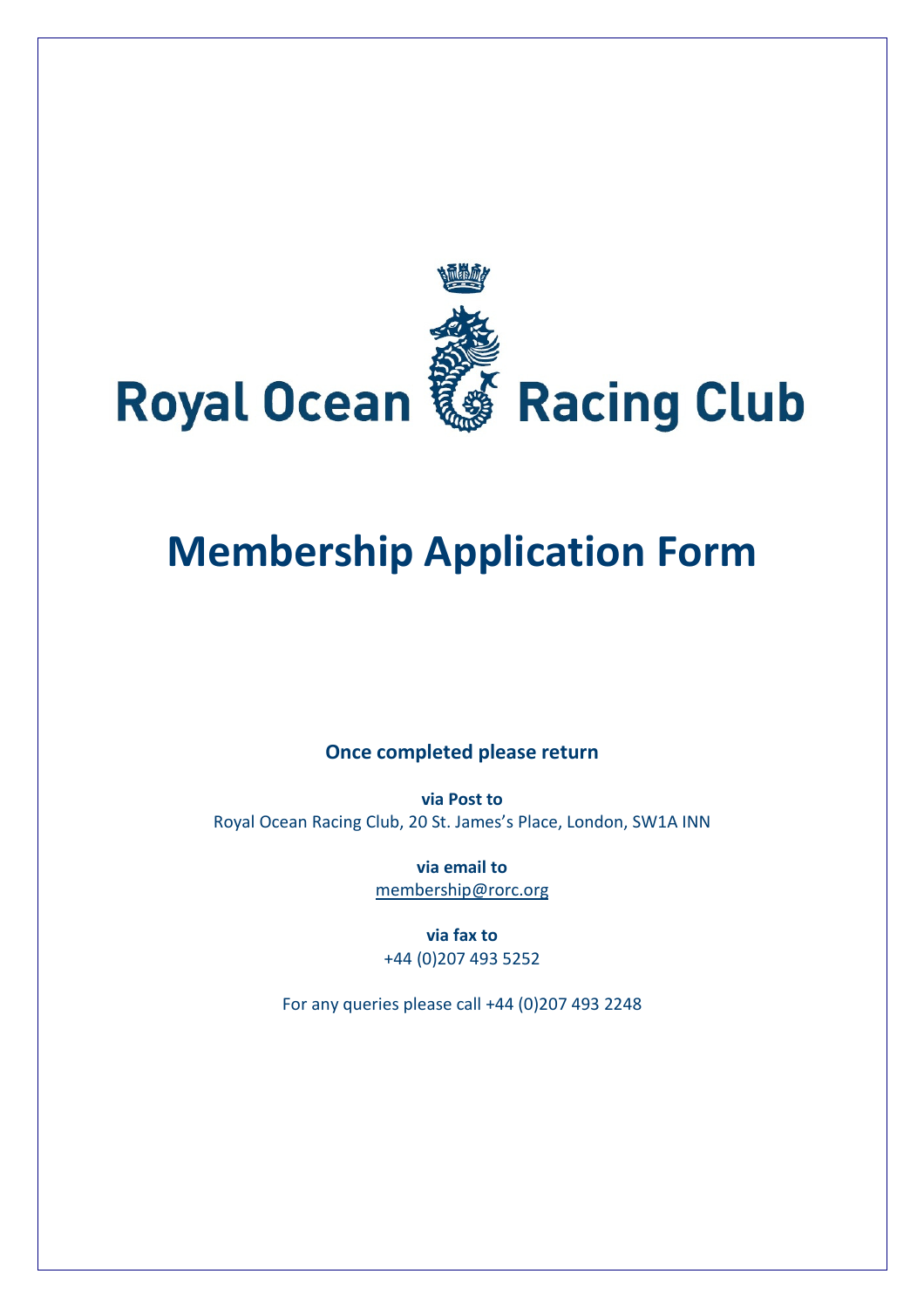

# Membership Application Form

## Once completed please return

via Post to Royal Ocean Racing Club, 20 St. James's Place, London, SW1A INN

> via email to membership@rorc.org

via fax to +44 (0)207 493 5252

For any queries please call +44 (0)207 493 2248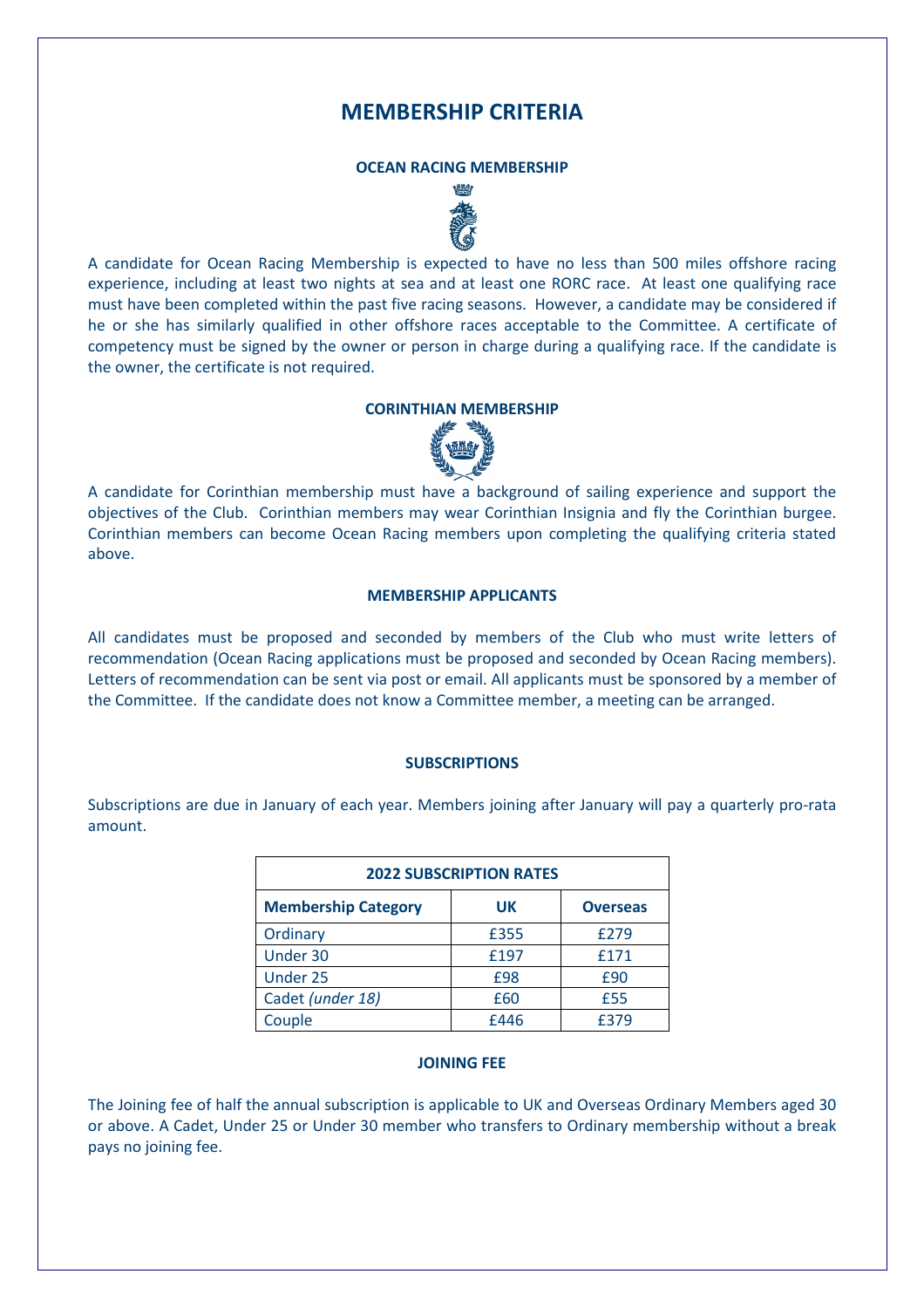## MEMBERSHIP CRITERIA

#### OCEAN RACING MEMBERSHIP



A candidate for Ocean Racing Membership is expected to have no less than 500 miles offshore racing experience, including at least two nights at sea and at least one RORC race. At least one qualifying race must have been completed within the past five racing seasons. However, a candidate may be considered if he or she has similarly qualified in other offshore races acceptable to the Committee. A certificate of competency must be signed by the owner or person in charge during a qualifying race. If the candidate is the owner, the certificate is not required.

## CORINTHIAN MEMBERSHIP



A candidate for Corinthian membership must have a background of sailing experience and support the objectives of the Club. Corinthian members may wear Corinthian Insignia and fly the Corinthian burgee. Corinthian members can become Ocean Racing members upon completing the qualifying criteria stated above.

#### MEMBERSHIP APPLICANTS

All candidates must be proposed and seconded by members of the Club who must write letters of recommendation (Ocean Racing applications must be proposed and seconded by Ocean Racing members). Letters of recommendation can be sent via post or email. All applicants must be sponsored by a member of the Committee. If the candidate does not know a Committee member, a meeting can be arranged.

#### **SUBSCRIPTIONS**

Subscriptions are due in January of each year. Members joining after January will pay a quarterly pro-rata amount.

| <b>2022 SUBSCRIPTION RATES</b> |      |                 |  |  |
|--------------------------------|------|-----------------|--|--|
| <b>Membership Category</b>     | UK   | <b>Overseas</b> |  |  |
| Ordinary                       | £355 | £279            |  |  |
| Under 30                       | £197 | £171            |  |  |
| Under 25                       | £98  | £90             |  |  |
| Cadet (under 18)               | £60  | £55             |  |  |
| Couple                         | £446 | f379            |  |  |

#### JOINING FEE

The Joining fee of half the annual subscription is applicable to UK and Overseas Ordinary Members aged 30 or above. A Cadet, Under 25 or Under 30 member who transfers to Ordinary membership without a break pays no joining fee.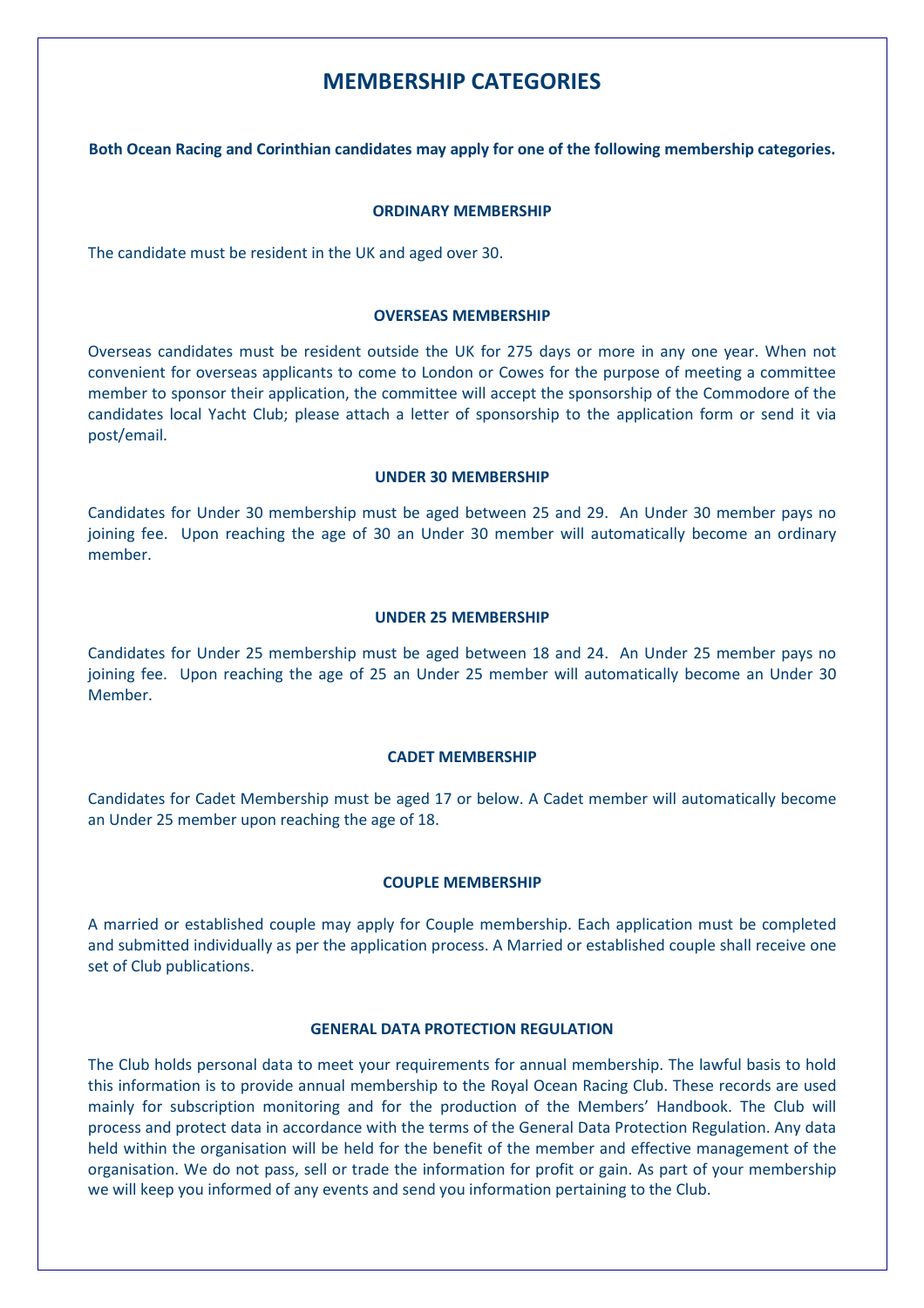## MEMBERSHIP CATEGORIES

Both Ocean Racing and Corinthian candidates may apply for one of the following membership categories.

#### ORDINARY MEMBERSHIP

The candidate must be resident in the UK and aged over 30.

#### OVERSEAS MEMBERSHIP

Overseas candidates must be resident outside the UK for 275 days or more in any one year. When not convenient for overseas applicants to come to London or Cowes for the purpose of meeting a committee member to sponsor their application, the committee will accept the sponsorship of the Commodore of the candidates local Yacht Club; please attach a letter of sponsorship to the application form or send it via post/email.

#### UNDER 30 MEMBERSHIP

Candidates for Under 30 membership must be aged between 25 and 29. An Under 30 member pays no joining fee. Upon reaching the age of 30 an Under 30 member will automatically become an ordinary member.

#### UNDER 25 MEMBERSHIP

Candidates for Under 25 membership must be aged between 18 and 24. An Under 25 member pays no joining fee. Upon reaching the age of 25 an Under 25 member will automatically become an Under 30 Member.

#### CADET MEMBERSHIP

Candidates for Cadet Membership must be aged 17 or below. A Cadet member will automatically become an Under 25 member upon reaching the age of 18.

#### COUPLE MEMBERSHIP

A married or established couple may apply for Couple membership. Each application must be completed and submitted individually as per the application process. A Married or established couple shall receive one set of Club publications.

#### GENERAL DATA PROTECTION REGULATION

The Club holds personal data to meet your requirements for annual membership. The lawful basis to hold this information is to provide annual membership to the Royal Ocean Racing Club. These records are used mainly for subscription monitoring and for the production of the Members' Handbook. The Club will process and protect data in accordance with the terms of the General Data Protection Regulation. Any data held within the organisation will be held for the benefit of the member and effective management of the organisation. We do not pass, sell or trade the information for profit or gain. As part of your membership we will keep you informed of any events and send you information pertaining to the Club.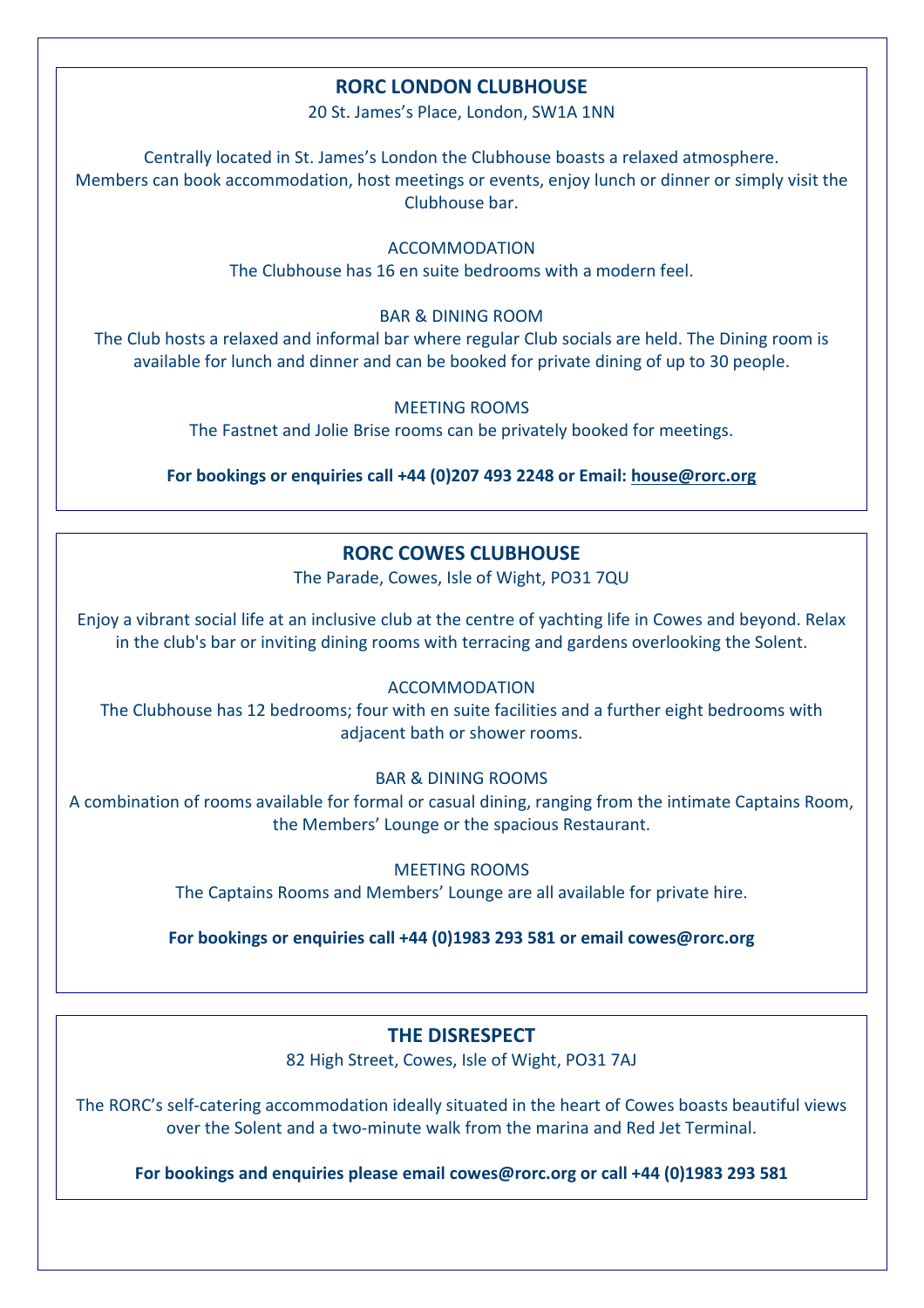## RORC LONDON CLUBHOUSE

20 St. James's Place, London, SW1A 1NN

Centrally located in St. James's London the Clubhouse boasts a relaxed atmosphere. Members can book accommodation, host meetings or events, enjoy lunch or dinner or simply visit the Clubhouse bar.

> ACCOMMODATION The Clubhouse has 16 en suite bedrooms with a modern feel.

> > BAR & DINING ROOM

The Club hosts a relaxed and informal bar where regular Club socials are held. The Dining room is available for lunch and dinner and can be booked for private dining of up to 30 people.

> MEETING ROOMS The Fastnet and Jolie Brise rooms can be privately booked for meetings.

For bookings or enquiries call +44 (0)207 493 2248 or Email: house@rorc.org

## RORC COWES CLUBHOUSE

The Parade, Cowes, Isle of Wight, PO31 7QU

Enjoy a vibrant social life at an inclusive club at the centre of yachting life in Cowes and beyond. Relax in the club's bar or inviting dining rooms with terracing and gardens overlooking the Solent.

ACCOMMODATION

The Clubhouse has 12 bedrooms; four with en suite facilities and a further eight bedrooms with adjacent bath or shower rooms.

BAR & DINING ROOMS

A combination of rooms available for formal or casual dining, ranging from the intimate Captains Room, the Members' Lounge or the spacious Restaurant.

MEETING ROOMS

The Captains Rooms and Members' Lounge are all available for private hire.

For bookings or enquiries call +44 (0)1983 293 581 or email cowes@rorc.org

## THE DISRESPECT

82 High Street, Cowes, Isle of Wight, PO31 7AJ

The RORC's self-catering accommodation ideally situated in the heart of Cowes boasts beautiful views over the Solent and a two-minute walk from the marina and Red Jet Terminal.

For bookings and enquiries please email cowes@rorc.org or call +44 (0)1983 293 581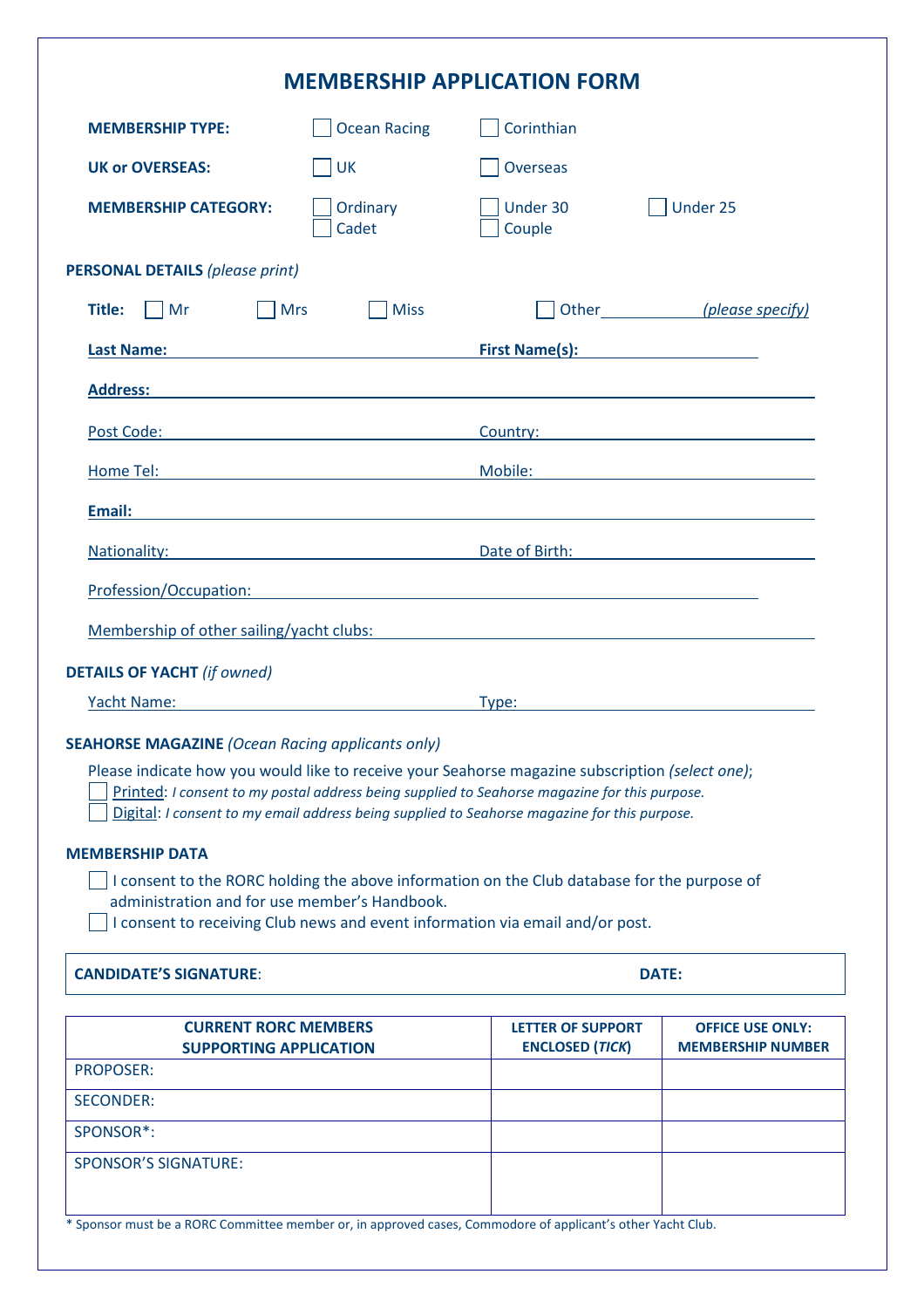| <b>MEMBERSHIP APPLICATION FORM</b>                                                                                                                                                                                                                                                                                                                          |                                                                                                                  |                                                                                                                                                                                                                                     |                                                     |  |  |  |
|-------------------------------------------------------------------------------------------------------------------------------------------------------------------------------------------------------------------------------------------------------------------------------------------------------------------------------------------------------------|------------------------------------------------------------------------------------------------------------------|-------------------------------------------------------------------------------------------------------------------------------------------------------------------------------------------------------------------------------------|-----------------------------------------------------|--|--|--|
| <b>MEMBERSHIP TYPE:</b>                                                                                                                                                                                                                                                                                                                                     | <b>Ocean Racing</b>                                                                                              | Corinthian                                                                                                                                                                                                                          |                                                     |  |  |  |
| <b>UK or OVERSEAS:</b>                                                                                                                                                                                                                                                                                                                                      | <b>UK</b>                                                                                                        | <b>Overseas</b>                                                                                                                                                                                                                     |                                                     |  |  |  |
| <b>MEMBERSHIP CATEGORY:</b>                                                                                                                                                                                                                                                                                                                                 | Ordinary<br>Cadet                                                                                                | Under 30<br>Couple                                                                                                                                                                                                                  | Under 25                                            |  |  |  |
| <b>PERSONAL DETAILS (please print)</b>                                                                                                                                                                                                                                                                                                                      |                                                                                                                  |                                                                                                                                                                                                                                     |                                                     |  |  |  |
| Title:<br>$\overline{\mathsf{Mr}}$<br><b>Mrs</b>                                                                                                                                                                                                                                                                                                            | <b>Miss</b>                                                                                                      |                                                                                                                                                                                                                                     | Other (please specify)                              |  |  |  |
| <b>Last Name:</b>                                                                                                                                                                                                                                                                                                                                           | <u> 1980 - Johann Barn, fransk politik (</u>                                                                     | <b>First Name(s):</b> The same of the same of the same of the same of the same of the same of the same of the same of the same of the same of the same of the same of the same of the same of the same of the same of the same of t |                                                     |  |  |  |
| <b>Address:</b>                                                                                                                                                                                                                                                                                                                                             | and the control of the control of the control of the control of the control of the control of the control of the |                                                                                                                                                                                                                                     |                                                     |  |  |  |
|                                                                                                                                                                                                                                                                                                                                                             |                                                                                                                  | Country: 2000 Country:                                                                                                                                                                                                              |                                                     |  |  |  |
| Home Tel:                                                                                                                                                                                                                                                                                                                                                   |                                                                                                                  | Mobile:                                                                                                                                                                                                                             |                                                     |  |  |  |
| Email:                                                                                                                                                                                                                                                                                                                                                      |                                                                                                                  |                                                                                                                                                                                                                                     |                                                     |  |  |  |
| Nationality:                                                                                                                                                                                                                                                                                                                                                | <u> 1989 - Johann Stoff, Amerikaansk politiker (</u>                                                             | Date of Birth:                                                                                                                                                                                                                      |                                                     |  |  |  |
| Profession/Occupation:                                                                                                                                                                                                                                                                                                                                      |                                                                                                                  | and the control of the control of the control of the control of the control of the control of the control of the                                                                                                                    |                                                     |  |  |  |
| Membership of other sailing/yacht clubs:                                                                                                                                                                                                                                                                                                                    |                                                                                                                  |                                                                                                                                                                                                                                     |                                                     |  |  |  |
|                                                                                                                                                                                                                                                                                                                                                             |                                                                                                                  | <u> 1980 - Andrea State Barbara, amerikan personal (h. 1980).</u>                                                                                                                                                                   |                                                     |  |  |  |
| <b>DETAILS OF YACHT</b> (if owned)<br>Yacht Name:                                                                                                                                                                                                                                                                                                           |                                                                                                                  | Type:                                                                                                                                                                                                                               |                                                     |  |  |  |
| <b>SEAHORSE MAGAZINE (Ocean Racing applicants only)</b><br>Please indicate how you would like to receive your Seahorse magazine subscription (select one);<br>Printed: I consent to my postal address being supplied to Seahorse magazine for this purpose.<br>Digital: I consent to my email address being supplied to Seahorse magazine for this purpose. |                                                                                                                  |                                                                                                                                                                                                                                     |                                                     |  |  |  |
| <b>MEMBERSHIP DATA</b>                                                                                                                                                                                                                                                                                                                                      |                                                                                                                  |                                                                                                                                                                                                                                     |                                                     |  |  |  |
| I consent to the RORC holding the above information on the Club database for the purpose of<br>administration and for use member's Handbook.<br>I consent to receiving Club news and event information via email and/or post.                                                                                                                               |                                                                                                                  |                                                                                                                                                                                                                                     |                                                     |  |  |  |
| <b>CANDIDATE'S SIGNATURE:</b>                                                                                                                                                                                                                                                                                                                               |                                                                                                                  | <b>DATE:</b>                                                                                                                                                                                                                        |                                                     |  |  |  |
| <b>CURRENT RORC MEMBERS</b><br><b>SUPPORTING APPLICATION</b>                                                                                                                                                                                                                                                                                                |                                                                                                                  | <b>LETTER OF SUPPORT</b><br><b>ENCLOSED (TICK)</b>                                                                                                                                                                                  | <b>OFFICE USE ONLY:</b><br><b>MEMBERSHIP NUMBER</b> |  |  |  |
| <b>PROPOSER:</b><br><b>SECONDER:</b>                                                                                                                                                                                                                                                                                                                        |                                                                                                                  |                                                                                                                                                                                                                                     |                                                     |  |  |  |

| <b>CURRENT RORC MEMBERS</b><br><b>SUPPORTING APPLICATION</b> | <b>LETTER OF SUPPORT</b><br><b>ENCLOSED (TICK)</b> | <b>OFFICE USE ONLY:</b><br><b>MEMBERSHIP NUMBER</b> |
|--------------------------------------------------------------|----------------------------------------------------|-----------------------------------------------------|
| <b>PROPOSER:</b>                                             |                                                    |                                                     |
| <b>SECONDER:</b>                                             |                                                    |                                                     |
| SPONSOR <sup>*</sup> :                                       |                                                    |                                                     |
| <b>SPONSOR'S SIGNATURE:</b>                                  |                                                    |                                                     |
|                                                              |                                                    |                                                     |

\* Sponsor must be a RORC Committee member or, in approved cases, Commodore of applicant's other Yacht Club.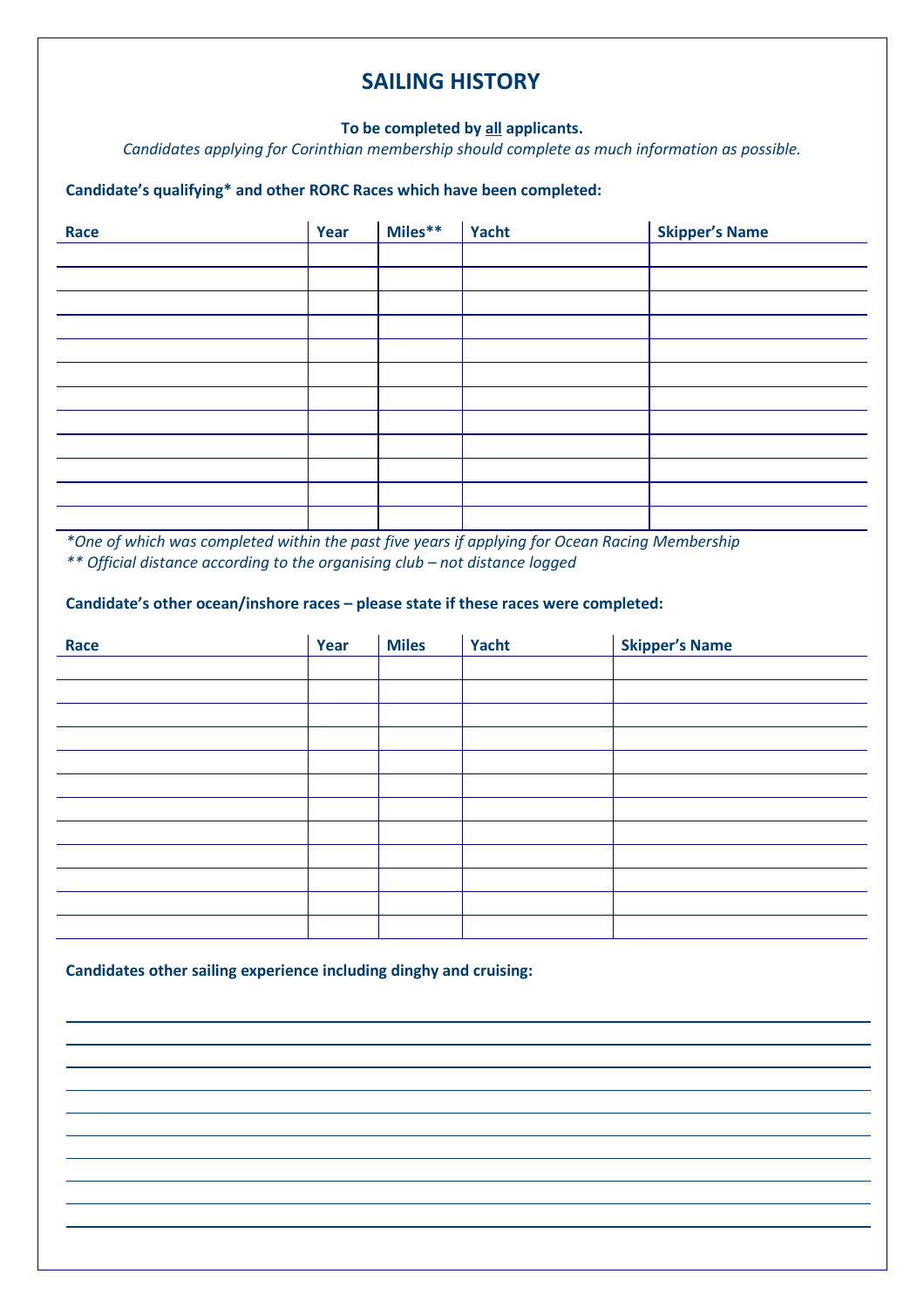## SAILING HISTORY

#### To be completed by all applicants.

Candidates applying for Corinthian membership should complete as much information as possible.

#### Candidate's qualifying\* and other RORC Races which have been completed:

| Race | Year | Miles** | Yacht | <b>Skipper's Name</b> |
|------|------|---------|-------|-----------------------|
|      |      |         |       |                       |
|      |      |         |       |                       |
|      |      |         |       |                       |
|      |      |         |       |                       |
|      |      |         |       |                       |
|      |      |         |       |                       |
|      |      |         |       |                       |
|      |      |         |       |                       |
|      |      |         |       |                       |
|      |      |         |       |                       |
|      |      |         |       |                       |
|      |      |         |       |                       |

\*One of which was completed within the past five years if applying for Ocean Racing Membership \*\* Official distance according to the organising club – not distance logged

#### Candidate's other ocean/inshore races – please state if these races were completed:

| Race | Year | <b>Miles</b> | Yacht | <b>Skipper's Name</b> |
|------|------|--------------|-------|-----------------------|
|      |      |              |       |                       |
|      |      |              |       |                       |
|      |      |              |       |                       |
|      |      |              |       |                       |
|      |      |              |       |                       |
|      |      |              |       |                       |
|      |      |              |       |                       |
|      |      |              |       |                       |
|      |      |              |       |                       |
|      |      |              |       |                       |
|      |      |              |       |                       |
|      |      |              |       |                       |

Candidates other sailing experience including dinghy and cruising:

l,

L